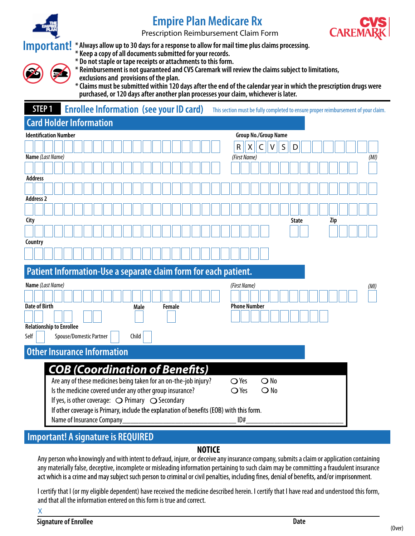

# **Empire Plan Medicare Rx**

Prescription Reimbursement Claim Form



**\* Always allow up to 30 days for a response to allow for mail time plus claims processing. Important!**

**\* Keep a copy of all documents submitted for your records.**

**\* Do not staple or tape receipts or attachments to this form.**

**\* Reimbursement is not guaranteed and CVS Caremark will review the claims subject to limitations,** 

**exclusions and provisions of the plan. \* Claims must be submitted within 120 days after the end of the calendar year in which the prescription drugs were purchased, or 120 days after another plan processes your claim, whichever is later.**

| STEP <sub>1</sub>                                                  | <b>Enrollee Information (see your ID card)</b><br>This section must be fully completed to ensure proper reimbursement of your claim. |  |  |  |  |  |
|--------------------------------------------------------------------|--------------------------------------------------------------------------------------------------------------------------------------|--|--|--|--|--|
| <b>Card Holder Information</b>                                     |                                                                                                                                      |  |  |  |  |  |
| <b>Identification Number</b><br><b>Group No./Group Name</b>        |                                                                                                                                      |  |  |  |  |  |
|                                                                    | $\mathsf R$<br>S<br>x<br>v                                                                                                           |  |  |  |  |  |
| Name (Last Name)                                                   | (First Name)<br>(MI)                                                                                                                 |  |  |  |  |  |
|                                                                    |                                                                                                                                      |  |  |  |  |  |
| <b>Address</b>                                                     |                                                                                                                                      |  |  |  |  |  |
|                                                                    |                                                                                                                                      |  |  |  |  |  |
| <b>Address 2</b>                                                   |                                                                                                                                      |  |  |  |  |  |
|                                                                    |                                                                                                                                      |  |  |  |  |  |
| City                                                               | <b>State</b><br>Zip                                                                                                                  |  |  |  |  |  |
|                                                                    |                                                                                                                                      |  |  |  |  |  |
| Country                                                            |                                                                                                                                      |  |  |  |  |  |
|                                                                    |                                                                                                                                      |  |  |  |  |  |
|                                                                    |                                                                                                                                      |  |  |  |  |  |
|                                                                    | Patient Information-Use a separate claim form for each patient.                                                                      |  |  |  |  |  |
| Name (Last Name)<br>(First Name)<br>(MI)                           |                                                                                                                                      |  |  |  |  |  |
|                                                                    |                                                                                                                                      |  |  |  |  |  |
| <b>Date of Birth</b><br><b>Phone Number</b><br>Male<br>Female      |                                                                                                                                      |  |  |  |  |  |
|                                                                    |                                                                                                                                      |  |  |  |  |  |
| <b>Relationship to Enrollee</b>                                    |                                                                                                                                      |  |  |  |  |  |
| Self                                                               | Spouse/Domestic Partner<br>Child                                                                                                     |  |  |  |  |  |
| <b>Other Insurance Information</b>                                 |                                                                                                                                      |  |  |  |  |  |
|                                                                    |                                                                                                                                      |  |  |  |  |  |
|                                                                    | <b>COB (Coordination of Benefits)</b>                                                                                                |  |  |  |  |  |
|                                                                    | Are any of these medicines being taken for an on-the-job injury?<br>$\bigcirc$ No<br>$\bigcirc$ Yes                                  |  |  |  |  |  |
|                                                                    | Is the medicine covered under any other group insurance?<br>$\bigcirc$ Yes<br>$\bigcirc$ No                                          |  |  |  |  |  |
| If yes, is other coverage: $\bigcirc$ Primary $\bigcirc$ Secondary |                                                                                                                                      |  |  |  |  |  |
|                                                                    | If other coverage is Primary, include the explanation of benefits (EOB) with this form.                                              |  |  |  |  |  |
|                                                                    | Name of Insurance Company<br>ID#                                                                                                     |  |  |  |  |  |

## **Important! A signature is REQUIRED**

### **NOTICE**

Any person who knowingly and with intent to defraud, injure, or deceive any insurance company, submits a claim or application containing any materially false, deceptive, incomplete or misleading information pertaining to such claim may be committing a fraudulent insurance<br>act which is a crime and may subject such person to criminal or civil penalties, inclu

I certify that I (or my eligible dependent) have received the medicine described herein. I certify that I have read and understood this form, and that all the information entered on this form is true and correct.